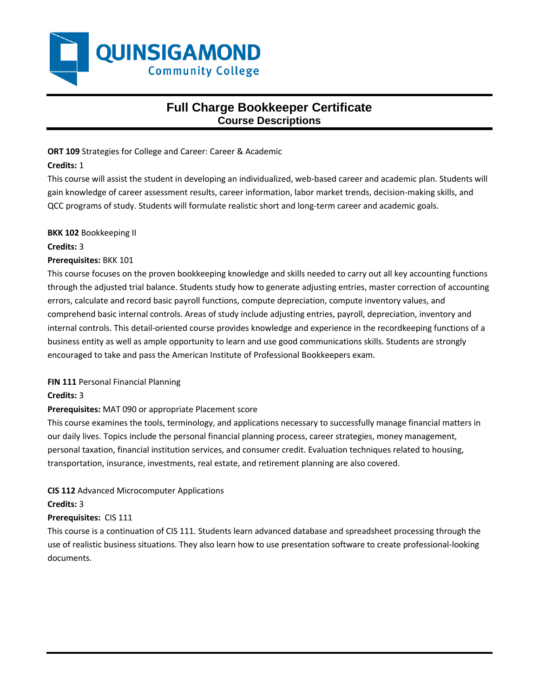

# **Full Charge Bookkeeper Certificate Course Descriptions**

**ORT 109** Strategies for College and Career: Career & Academic

# **Credits:** 1

This course will assist the student in developing an individualized, web-based career and academic plan. Students will gain knowledge of career assessment results, career information, labor market trends, decision-making skills, and QCC programs of study. Students will formulate realistic short and long-term career and academic goals.

**BKK 102** Bookkeeping II

## **Credits:** 3

# **Prerequisites:** BKK 101

This course focuses on the proven bookkeeping knowledge and skills needed to carry out all key accounting functions through the adjusted trial balance. Students study how to generate adjusting entries, master correction of accounting errors, calculate and record basic payroll functions, compute depreciation, compute inventory values, and comprehend basic internal controls. Areas of study include adjusting entries, payroll, depreciation, inventory and internal controls. This detail-oriented course provides knowledge and experience in the recordkeeping functions of a business entity as well as ample opportunity to learn and use good communications skills. Students are strongly encouraged to take and pass the American Institute of Professional Bookkeepers exam.

# **FIN 111** Personal Financial Planning

# **Credits:** 3

# **Prerequisites:** MAT 090 or appropriate Placement score

This course examines the tools, terminology, and applications necessary to successfully manage financial matters in our daily lives. Topics include the personal financial planning process, career strategies, money management, personal taxation, financial institution services, and consumer credit. Evaluation techniques related to housing, transportation, insurance, investments, real estate, and retirement planning are also covered.

# **CIS 112** Advanced Microcomputer Applications

### **Credits:** 3

# **Prerequisites:** CIS 111

This course is a continuation of CIS 111. Students learn advanced database and spreadsheet processing through the use of realistic business situations. They also learn how to use presentation software to create professional-looking documents.